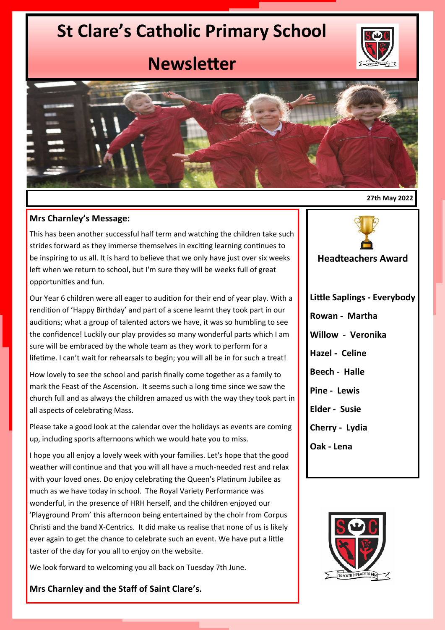## **St Clare's Catholic Primary School**



## **Newsletter**



## **Mrs Charnley's Message:**

This has been another successful half term and watching the children take such strides forward as they immerse themselves in exciting learning continues to be inspiring to us all. It is hard to believe that we only have just over six weeks left when we return to school, but I'm sure they will be weeks full of great opportunities and fun.

Our Year 6 children were all eager to audition for their end of year play. With a rendition of 'Happy Birthday' and part of a scene learnt they took part in our auditions; what a group of talented actors we have, it was so humbling to see the confidence! Luckily our play provides so many wonderful parts which I am sure will be embraced by the whole team as they work to perform for a lifetime. I can't wait for rehearsals to begin; you will all be in for such a treat!

How lovely to see the school and parish finally come together as a family to mark the Feast of the Ascension. It seems such a long time since we saw the church full and as always the children amazed us with the way they took part in all aspects of celebrating Mass.

Please take a good look at the calendar over the holidays as events are coming up, including sports afternoons which we would hate you to miss.

I hope you all enjoy a lovely week with your families. Let's hope that the good weather will continue and that you will all have a much-needed rest and relax with your loved ones. Do enjoy celebrating the Queen's Platinum Jubilee as much as we have today in school. The Royal Variety Performance was wonderful, in the presence of HRH herself, and the children enjoyed our 'Playground Prom' this afternoon being entertained by the choir from Corpus Christi and the band X-Centrics. It did make us realise that none of us is likely ever again to get the chance to celebrate such an event. We have put a little taster of the day for you all to enjoy on the website.

We look forward to welcoming you all back on Tuesday 7th June.

**Mrs Charnley and the Staff of Saint Clare's.**

**27th May 2022**